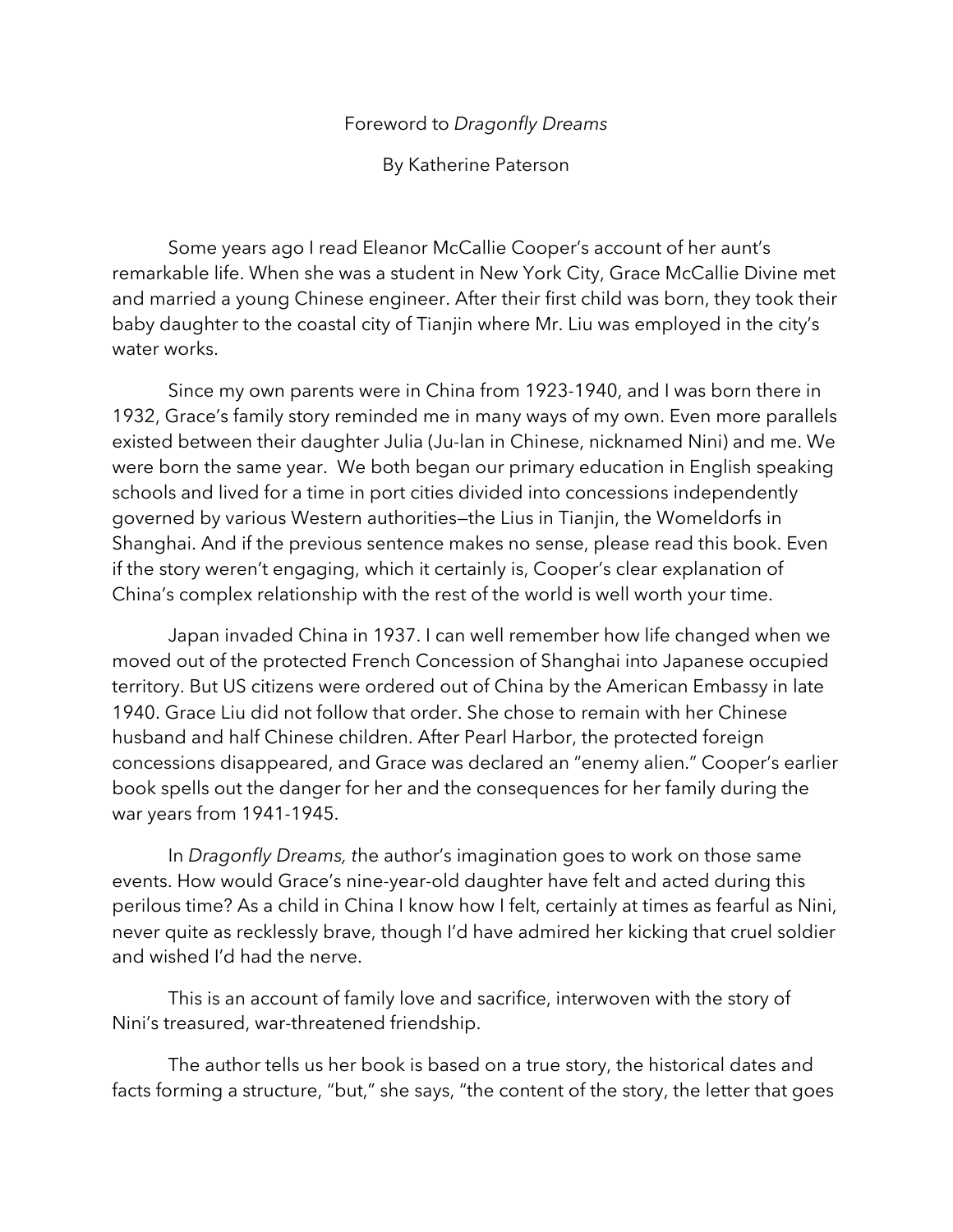## Foreword to *Dragonfly Dreams*

By Katherine Paterson

Some years ago I read Eleanor McCallie Cooper's account of her aunt's remarkable life. When she was a student in New York City, Grace McCallie Divine met and married a young Chinese engineer. After their first child was born, they took their baby daughter to the coastal city of Tianjin where Mr. Liu was employed in the city's water works.

Since my own parents were in China from 1923-1940, and I was born there in 1932, Grace's family story reminded me in many ways of my own. Even more parallels existed between their daughter Julia (Ju-lan in Chinese, nicknamed Nini) and me. We were born the same year. We both began our primary education in English speaking schools and lived for a time in port cities divided into concessions independently governed by various Western authorities—the Lius in Tianjin, the Womeldorfs in Shanghai. And if the previous sentence makes no sense, please read this book. Even if the story weren't engaging, which it certainly is, Cooper's clear explanation of China's complex relationship with the rest of the world is well worth your time.

Japan invaded China in 1937. I can well remember how life changed when we moved out of the protected French Concession of Shanghai into Japanese occupied territory. But US citizens were ordered out of China by the American Embassy in late 1940. Grace Liu did not follow that order. She chose to remain with her Chinese husband and half Chinese children. After Pearl Harbor, the protected foreign concessions disappeared, and Grace was declared an "enemy alien." Cooper's earlier book spells out the danger for her and the consequences for her family during the war years from 1941-1945.

In *Dragonfly Dreams, t*he author's imagination goes to work on those same events. How would Grace's nine-year-old daughter have felt and acted during this perilous time? As a child in China I know how I felt, certainly at times as fearful as Nini, never quite as recklessly brave, though I'd have admired her kicking that cruel soldier and wished I'd had the nerve.

This is an account of family love and sacrifice, interwoven with the story of Nini's treasured, war-threatened friendship.

The author tells us her book is based on a true story, the historical dates and facts forming a structure, "but," she says, "the content of the story, the letter that goes